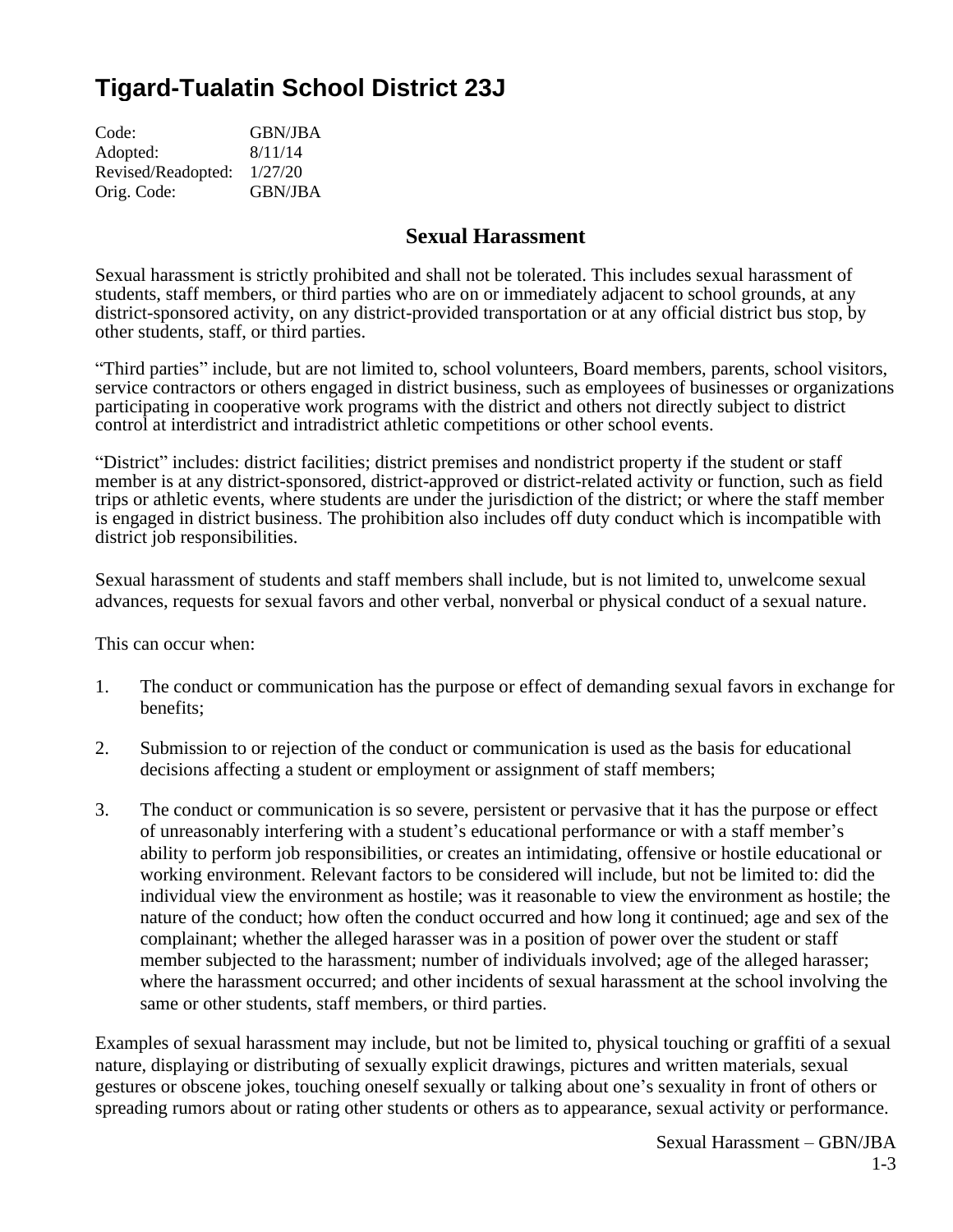# **Tigard-Tualatin School District 23J**

| <b>GBN/JBA</b> |
|----------------|
| 8/11/14        |
| 1/27/20        |
| <b>GBN/JBA</b> |
|                |

## **Sexual Harassment**

Sexual harassment is strictly prohibited and shall not be tolerated. This includes sexual harassment of students, staff members, or third parties who are on or immediately adjacent to school grounds, at any district-sponsored activity, on any district-provided transportation or at any official district bus stop, by other students, staff, or third parties.

"Third parties" include, but are not limited to, school volunteers, Board members, parents, school visitors, service contractors or others engaged in district business, such as employees of businesses or organizations participating in cooperative work programs with the district and others not directly subject to district control at interdistrict and intradistrict athletic competitions or other school events.

"District" includes: district facilities; district premises and nondistrict property if the student or staff member is at any district-sponsored, district-approved or district-related activity or function, such as field trips or athletic events, where students are under the jurisdiction of the district; or where the staff member is engaged in district business. The prohibition also includes off duty conduct which is incompatible with district job responsibilities.

Sexual harassment of students and staff members shall include, but is not limited to, unwelcome sexual advances, requests for sexual favors and other verbal, nonverbal or physical conduct of a sexual nature.

This can occur when:

- 1. The conduct or communication has the purpose or effect of demanding sexual favors in exchange for benefits;
- 2. Submission to or rejection of the conduct or communication is used as the basis for educational decisions affecting a student or employment or assignment of staff members;
- 3. The conduct or communication is so severe, persistent or pervasive that it has the purpose or effect of unreasonably interfering with a student's educational performance or with a staff member's ability to perform job responsibilities, or creates an intimidating, offensive or hostile educational or working environment. Relevant factors to be considered will include, but not be limited to: did the individual view the environment as hostile; was it reasonable to view the environment as hostile; the nature of the conduct; how often the conduct occurred and how long it continued; age and sex of the complainant; whether the alleged harasser was in a position of power over the student or staff member subjected to the harassment; number of individuals involved; age of the alleged harasser; where the harassment occurred; and other incidents of sexual harassment at the school involving the same or other students, staff members, or third parties.

Examples of sexual harassment may include, but not be limited to, physical touching or graffiti of a sexual nature, displaying or distributing of sexually explicit drawings, pictures and written materials, sexual gestures or obscene jokes, touching oneself sexually or talking about one's sexuality in front of others or spreading rumors about or rating other students or others as to appearance, sexual activity or performance.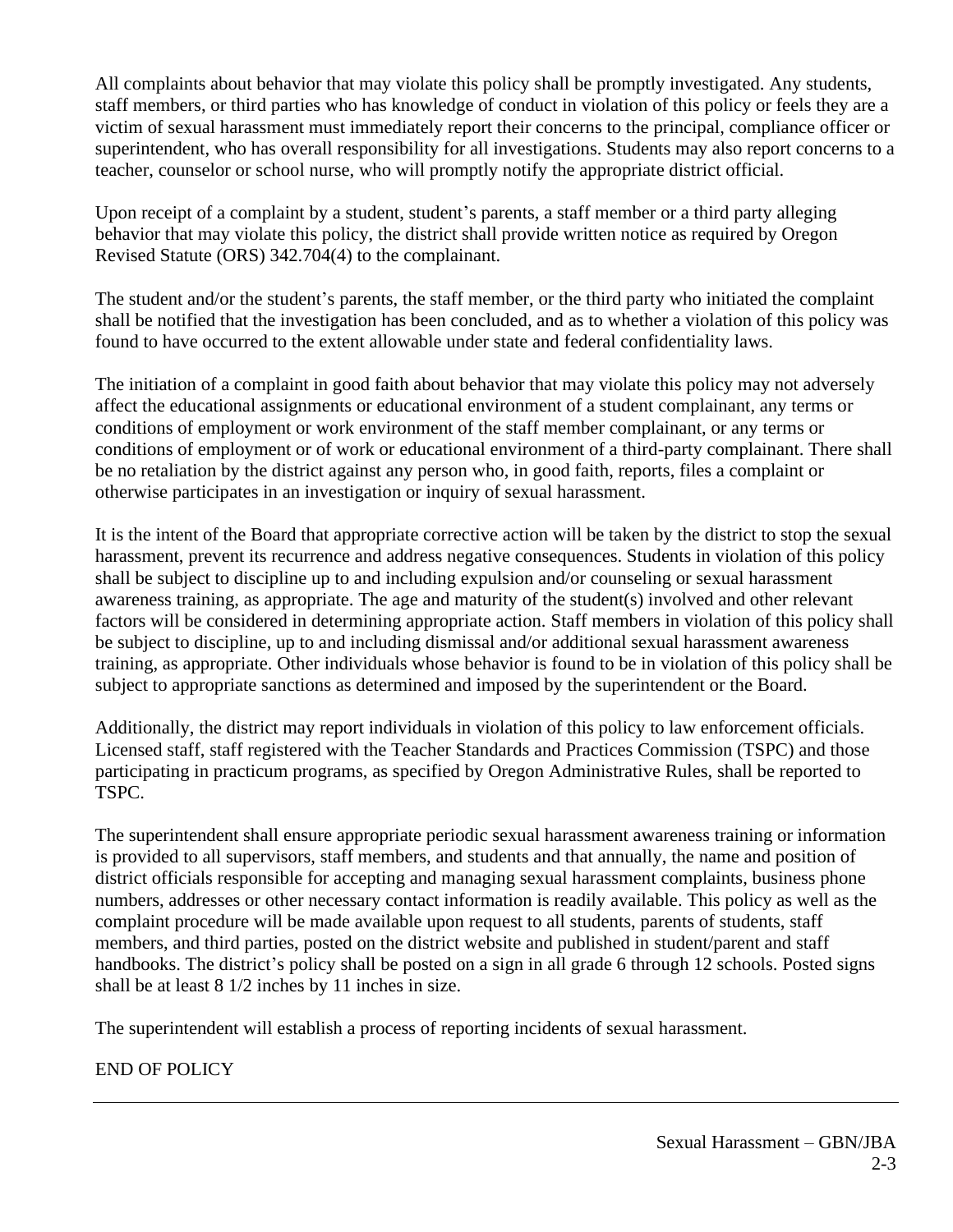All complaints about behavior that may violate this policy shall be promptly investigated. Any students, staff members, or third parties who has knowledge of conduct in violation of this policy or feels they are a victim of sexual harassment must immediately report their concerns to the principal, compliance officer or superintendent, who has overall responsibility for all investigations. Students may also report concerns to a teacher, counselor or school nurse, who will promptly notify the appropriate district official.

Upon receipt of a complaint by a student, student's parents, a staff member or a third party alleging behavior that may violate this policy, the district shall provide written notice as required by Oregon Revised Statute (ORS) 342.704(4) to the complainant.

The student and/or the student's parents, the staff member, or the third party who initiated the complaint shall be notified that the investigation has been concluded, and as to whether a violation of this policy was found to have occurred to the extent allowable under state and federal confidentiality laws.

The initiation of a complaint in good faith about behavior that may violate this policy may not adversely affect the educational assignments or educational environment of a student complainant, any terms or conditions of employment or work environment of the staff member complainant, or any terms or conditions of employment or of work or educational environment of a third-party complainant. There shall be no retaliation by the district against any person who, in good faith, reports, files a complaint or otherwise participates in an investigation or inquiry of sexual harassment.

It is the intent of the Board that appropriate corrective action will be taken by the district to stop the sexual harassment, prevent its recurrence and address negative consequences. Students in violation of this policy shall be subject to discipline up to and including expulsion and/or counseling or sexual harassment awareness training, as appropriate. The age and maturity of the student(s) involved and other relevant factors will be considered in determining appropriate action. Staff members in violation of this policy shall be subject to discipline, up to and including dismissal and/or additional sexual harassment awareness training, as appropriate. Other individuals whose behavior is found to be in violation of this policy shall be subject to appropriate sanctions as determined and imposed by the superintendent or the Board.

Additionally, the district may report individuals in violation of this policy to law enforcement officials. Licensed staff, staff registered with the Teacher Standards and Practices Commission (TSPC) and those participating in practicum programs, as specified by Oregon Administrative Rules, shall be reported to TSPC.

The superintendent shall ensure appropriate periodic sexual harassment awareness training or information is provided to all supervisors, staff members, and students and that annually, the name and position of district officials responsible for accepting and managing sexual harassment complaints, business phone numbers, addresses or other necessary contact information is readily available. This policy as well as the complaint procedure will be made available upon request to all students, parents of students, staff members, and third parties, posted on the district website and published in student/parent and staff handbooks. The district's policy shall be posted on a sign in all grade 6 through 12 schools. Posted signs shall be at least 8 1/2 inches by 11 inches in size.

The superintendent will establish a process of reporting incidents of sexual harassment.

## END OF POLICY